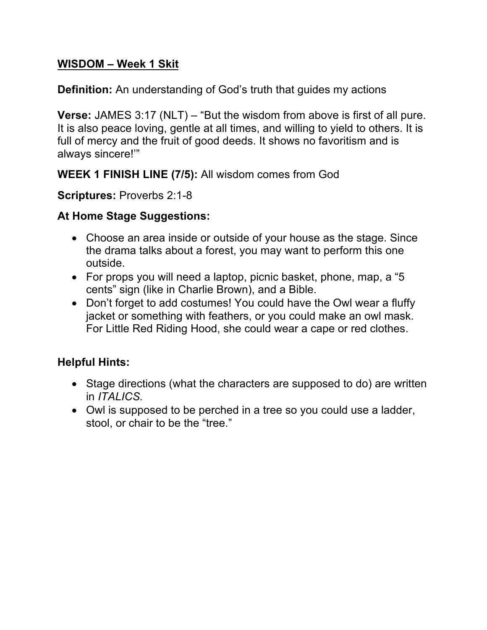## **WISDOM – Week 1 Skit**

**Definition:** An understanding of God's truth that guides my actions

**Verse:** JAMES 3:17 (NLT) – "But the wisdom from above is first of all pure. It is also peace loving, gentle at all times, and willing to yield to others. It is full of mercy and the fruit of good deeds. It shows no favoritism and is always sincere!'"

**WEEK 1 FINISH LINE (7/5):** All wisdom comes from God

**Scriptures:** Proverbs 2:1-8

## **At Home Stage Suggestions:**

- Choose an area inside or outside of your house as the stage. Since the drama talks about a forest, you may want to perform this one outside.
- For props you will need a laptop, picnic basket, phone, map, a "5 cents" sign (like in Charlie Brown), and a Bible.
- Don't forget to add costumes! You could have the Owl wear a fluffy jacket or something with feathers, or you could make an owl mask. For Little Red Riding Hood, she could wear a cape or red clothes.

## **Helpful Hints:**

- Stage directions (what the characters are supposed to do) are written in *ITALICS.*
- Owl is supposed to be perched in a tree so you could use a ladder, stool, or chair to be the "tree."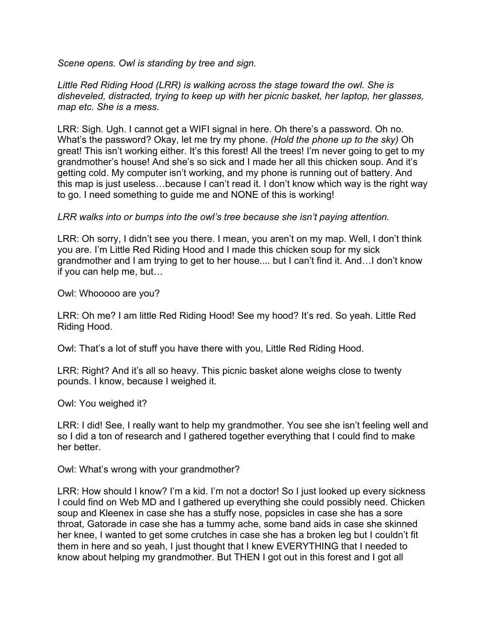*Scene opens. Owl is standing by tree and sign.*

*Little Red Riding Hood (LRR) is walking across the stage toward the owl. She is disheveled, distracted, trying to keep up with her picnic basket, her laptop, her glasses, map etc. She is a mess.*

LRR: Sigh. Ugh. I cannot get a WIFI signal in here. Oh there's a password. Oh no. What's the password? Okay, let me try my phone. *(Hold the phone up to the sky)* Oh great! This isn't working either. It's this forest! All the trees! I'm never going to get to my grandmother's house! And she's so sick and I made her all this chicken soup. And it's getting cold. My computer isn't working, and my phone is running out of battery. And this map is just useless…because I can't read it. I don't know which way is the right way to go. I need something to guide me and NONE of this is working!

## *LRR walks into or bumps into the owl's tree because she isn't paying attention.*

LRR: Oh sorry, I didn't see you there. I mean, you aren't on my map. Well, I don't think you are. I'm Little Red Riding Hood and I made this chicken soup for my sick grandmother and I am trying to get to her house.... but I can't find it. And…I don't know if you can help me, but…

Owl: Whooooo are you?

LRR: Oh me? I am little Red Riding Hood! See my hood? It's red. So yeah. Little Red Riding Hood.

Owl: That's a lot of stuff you have there with you, Little Red Riding Hood.

LRR: Right? And it's all so heavy. This picnic basket alone weighs close to twenty pounds. I know, because I weighed it.

Owl: You weighed it?

LRR: I did! See, I really want to help my grandmother. You see she isn't feeling well and so I did a ton of research and I gathered together everything that I could find to make her better.

Owl: What's wrong with your grandmother?

LRR: How should I know? I'm a kid. I'm not a doctor! So I just looked up every sickness I could find on Web MD and I gathered up everything she could possibly need. Chicken soup and Kleenex in case she has a stuffy nose, popsicles in case she has a sore throat, Gatorade in case she has a tummy ache, some band aids in case she skinned her knee, I wanted to get some crutches in case she has a broken leg but I couldn't fit them in here and so yeah, I just thought that I knew EVERYTHING that I needed to know about helping my grandmother. But THEN I got out in this forest and I got all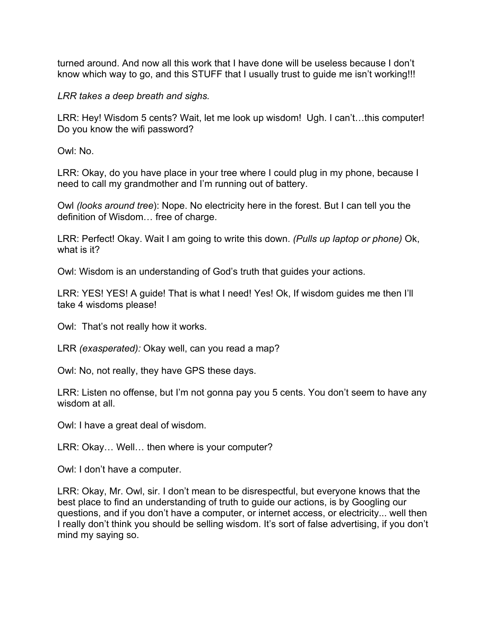turned around. And now all this work that I have done will be useless because I don't know which way to go, and this STUFF that I usually trust to guide me isn't working!!!

*LRR takes a deep breath and sighs.*

LRR: Hey! Wisdom 5 cents? Wait, let me look up wisdom! Ugh. I can't...this computer! Do you know the wifi password?

Owl: No.

LRR: Okay, do you have place in your tree where I could plug in my phone, because I need to call my grandmother and I'm running out of battery.

Owl *(looks around tree*): Nope. No electricity here in the forest. But I can tell you the definition of Wisdom… free of charge.

LRR: Perfect! Okay. Wait I am going to write this down. *(Pulls up laptop or phone)* Ok, what is it?

Owl: Wisdom is an understanding of God's truth that guides your actions.

LRR: YES! YES! A guide! That is what I need! Yes! Ok, If wisdom guides me then I'll take 4 wisdoms please!

Owl: That's not really how it works.

LRR *(exasperated):* Okay well, can you read a map?

Owl: No, not really, they have GPS these days.

LRR: Listen no offense, but I'm not gonna pay you 5 cents. You don't seem to have any wisdom at all.

Owl: I have a great deal of wisdom.

LRR: Okay… Well… then where is your computer?

Owl: I don't have a computer.

LRR: Okay, Mr. Owl, sir. I don't mean to be disrespectful, but everyone knows that the best place to find an understanding of truth to guide our actions, is by Googling our questions, and if you don't have a computer, or internet access, or electricity... well then I really don't think you should be selling wisdom. It's sort of false advertising, if you don't mind my saying so.